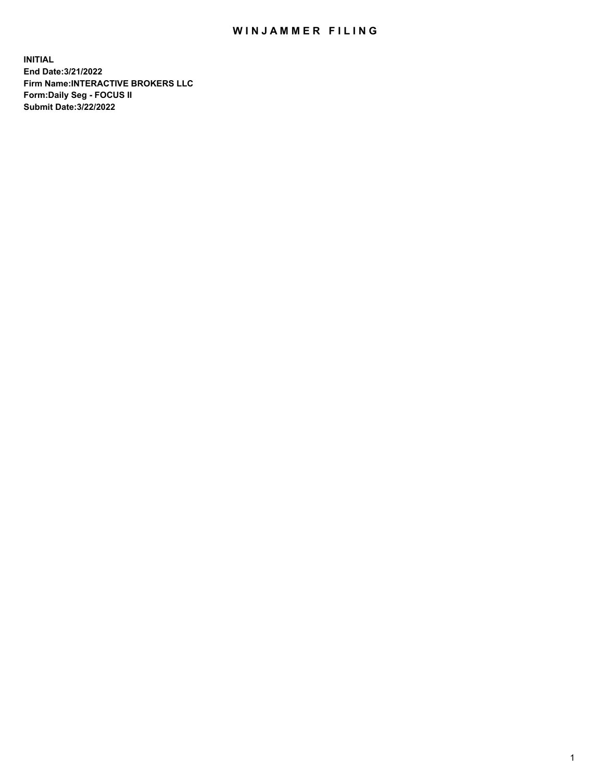## WIN JAMMER FILING

**INITIAL End Date:3/21/2022 Firm Name:INTERACTIVE BROKERS LLC Form:Daily Seg - FOCUS II Submit Date:3/22/2022**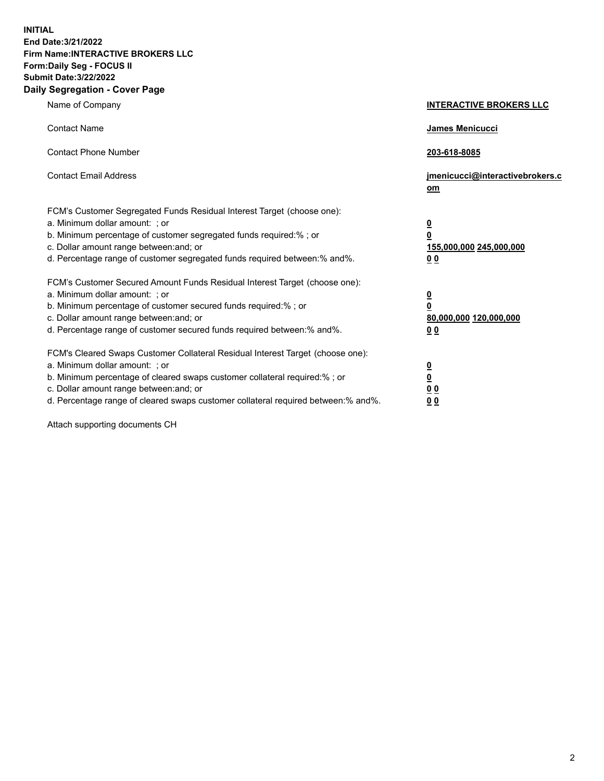**INITIAL End Date:3/21/2022 Firm Name:INTERACTIVE BROKERS LLC Form:Daily Seg - FOCUS II Submit Date:3/22/2022 Daily Segregation - Cover Page**

| Name of Company                                                                                                                                                                                                                                                                                                               | <b>INTERACTIVE BROKERS LLC</b>                                                                  |  |
|-------------------------------------------------------------------------------------------------------------------------------------------------------------------------------------------------------------------------------------------------------------------------------------------------------------------------------|-------------------------------------------------------------------------------------------------|--|
| <b>Contact Name</b>                                                                                                                                                                                                                                                                                                           | James Menicucci                                                                                 |  |
| <b>Contact Phone Number</b>                                                                                                                                                                                                                                                                                                   | 203-618-8085                                                                                    |  |
| <b>Contact Email Address</b>                                                                                                                                                                                                                                                                                                  | jmenicucci@interactivebrokers.c<br><u>om</u>                                                    |  |
| FCM's Customer Segregated Funds Residual Interest Target (choose one):<br>a. Minimum dollar amount: ; or<br>b. Minimum percentage of customer segregated funds required:% ; or<br>c. Dollar amount range between: and; or<br>d. Percentage range of customer segregated funds required between:% and%.                        | $\overline{\mathbf{0}}$<br>$\overline{\mathbf{0}}$<br>155,000,000 245,000,000<br>0 <sub>0</sub> |  |
| FCM's Customer Secured Amount Funds Residual Interest Target (choose one):<br>a. Minimum dollar amount: ; or<br>b. Minimum percentage of customer secured funds required:%; or<br>c. Dollar amount range between: and; or<br>d. Percentage range of customer secured funds required between:% and%.                           | $\overline{\mathbf{0}}$<br>$\overline{\mathbf{0}}$<br>80,000,000 120,000,000<br>0 <sub>0</sub>  |  |
| FCM's Cleared Swaps Customer Collateral Residual Interest Target (choose one):<br>a. Minimum dollar amount: ; or<br>b. Minimum percentage of cleared swaps customer collateral required:%; or<br>c. Dollar amount range between: and; or<br>d. Percentage range of cleared swaps customer collateral required between:% and%. | $\overline{\mathbf{0}}$<br>$\overline{\mathbf{0}}$<br>0 <sub>0</sub><br>0 <sub>0</sub>          |  |

Attach supporting documents CH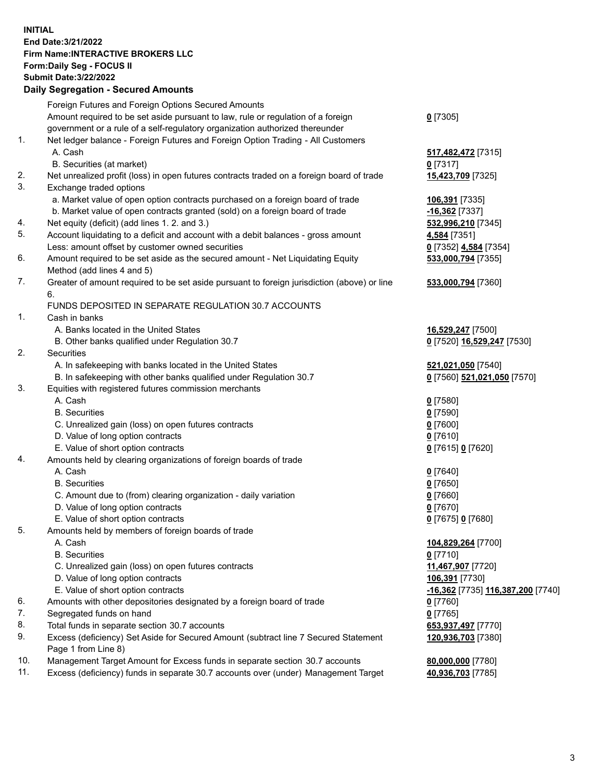**INITIAL End Date:3/21/2022 Firm Name:INTERACTIVE BROKERS LLC Form:Daily Seg - FOCUS II Submit Date:3/22/2022 Daily Segregation - Secured Amounts**

## Foreign Futures and Foreign Options Secured Amounts Amount required to be set aside pursuant to law, rule or regulation of a foreign government or a rule of a self-regulatory organization authorized thereunder **0** [7305] 1. Net ledger balance - Foreign Futures and Foreign Option Trading - All Customers A. Cash **517,482,472** [7315] B. Securities (at market) **0** [7317] 2. Net unrealized profit (loss) in open futures contracts traded on a foreign board of trade **15,423,709** [7325] 3. Exchange traded options a. Market value of open option contracts purchased on a foreign board of trade **106,391** [7335] b. Market value of open contracts granted (sold) on a foreign board of trade **-16,362** [7337] 4. Net equity (deficit) (add lines 1. 2. and 3.) **532,996,210** [7345] 5. Account liquidating to a deficit and account with a debit balances - gross amount **4,584** [7351] Less: amount offset by customer owned securities **0** [7352] **4,584** [7354] 6. Amount required to be set aside as the secured amount - Net Liquidating Equity Method (add lines 4 and 5) **533,000,794** [7355] 7. Greater of amount required to be set aside pursuant to foreign jurisdiction (above) or line 6. **533,000,794** [7360] FUNDS DEPOSITED IN SEPARATE REGULATION 30.7 ACCOUNTS 1. Cash in banks A. Banks located in the United States **16,529,247** [7500] B. Other banks qualified under Regulation 30.7 **0** [7520] **16,529,247** [7530] 2. Securities A. In safekeeping with banks located in the United States **521,021,050** [7540] B. In safekeeping with other banks qualified under Regulation 30.7 **0** [7560] **521,021,050** [7570] 3. Equities with registered futures commission merchants A. Cash **0** [7580] B. Securities **0** [7590] C. Unrealized gain (loss) on open futures contracts **0** [7600] D. Value of long option contracts **0** [7610] E. Value of short option contracts **0** [7615] **0** [7620] 4. Amounts held by clearing organizations of foreign boards of trade A. Cash **0** [7640] B. Securities **0** [7650] C. Amount due to (from) clearing organization - daily variation **0** [7660] D. Value of long option contracts **0** [7670] E. Value of short option contracts **0** [7675] **0** [7680] 5. Amounts held by members of foreign boards of trade A. Cash **104,829,264** [7700] B. Securities **0** [7710] C. Unrealized gain (loss) on open futures contracts **11,467,907** [7720] D. Value of long option contracts **106,391** [7730] E. Value of short option contracts **-16,362** [7735] **116,387,200** [7740] 6. Amounts with other depositories designated by a foreign board of trade **0** [7760] 7. Segregated funds on hand **0** [7765] 8. Total funds in separate section 30.7 accounts **653,937,497** [7770] 9. Excess (deficiency) Set Aside for Secured Amount (subtract line 7 Secured Statement Page 1 from Line 8) **120,936,703** [7380] 10. Management Target Amount for Excess funds in separate section 30.7 accounts **80,000,000** [7780] 11. Excess (deficiency) funds in separate 30.7 accounts over (under) Management Target **40,936,703** [7785]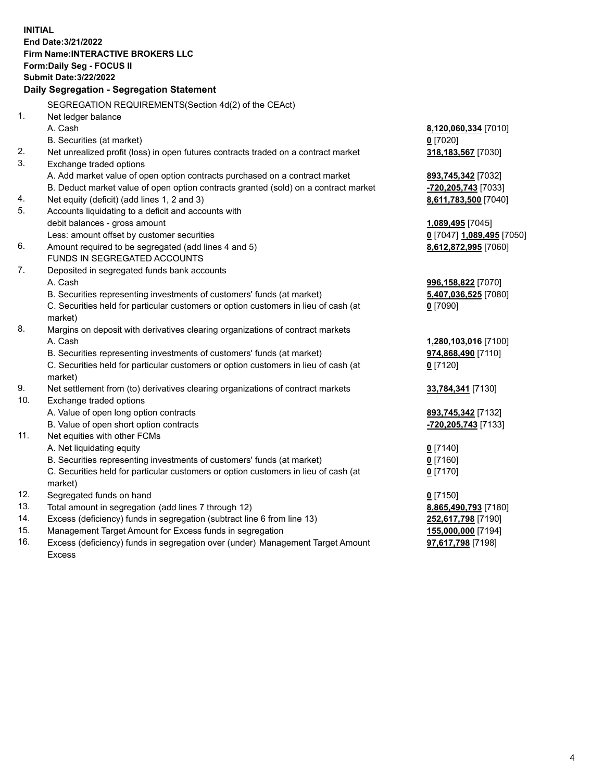**INITIAL End Date:3/21/2022 Firm Name:INTERACTIVE BROKERS LLC Form:Daily Seg - FOCUS II Submit Date:3/22/2022 Daily Segregation - Segregation Statement** SEGREGATION REQUIREMENTS(Section 4d(2) of the CEAct) 1. Net ledger balance A. Cash **8,120,060,334** [7010] B. Securities (at market) **0** [7020] 2. Net unrealized profit (loss) in open futures contracts traded on a contract market **318,183,567** [7030] 3. Exchange traded options A. Add market value of open option contracts purchased on a contract market **893,745,342** [7032] B. Deduct market value of open option contracts granted (sold) on a contract market **-720,205,743** [7033] 4. Net equity (deficit) (add lines 1, 2 and 3) **8,611,783,500** [7040] 5. Accounts liquidating to a deficit and accounts with debit balances - gross amount **1,089,495** [7045] Less: amount offset by customer securities **0** [7047] **1,089,495** [7050] 6. Amount required to be segregated (add lines 4 and 5) **8,612,872,995** [7060] FUNDS IN SEGREGATED ACCOUNTS 7. Deposited in segregated funds bank accounts A. Cash **996,158,822** [7070] B. Securities representing investments of customers' funds (at market) **5,407,036,525** [7080] C. Securities held for particular customers or option customers in lieu of cash (at market) **0** [7090] 8. Margins on deposit with derivatives clearing organizations of contract markets A. Cash **1,280,103,016** [7100] B. Securities representing investments of customers' funds (at market) **974,868,490** [7110] C. Securities held for particular customers or option customers in lieu of cash (at market) **0** [7120] 9. Net settlement from (to) derivatives clearing organizations of contract markets **33,784,341** [7130] 10. Exchange traded options A. Value of open long option contracts **893,745,342** [7132] B. Value of open short option contracts **-720,205,743** [7133] 11. Net equities with other FCMs A. Net liquidating equity **0** [7140] B. Securities representing investments of customers' funds (at market) **0** [7160] C. Securities held for particular customers or option customers in lieu of cash (at market) **0** [7170] 12. Segregated funds on hand **0** [7150] 13. Total amount in segregation (add lines 7 through 12) **8,865,490,793** [7180] 14. Excess (deficiency) funds in segregation (subtract line 6 from line 13) **252,617,798** [7190] 15. Management Target Amount for Excess funds in segregation **155,000,000** [7194] **97,617,798** [7198]

16. Excess (deficiency) funds in segregation over (under) Management Target Amount Excess